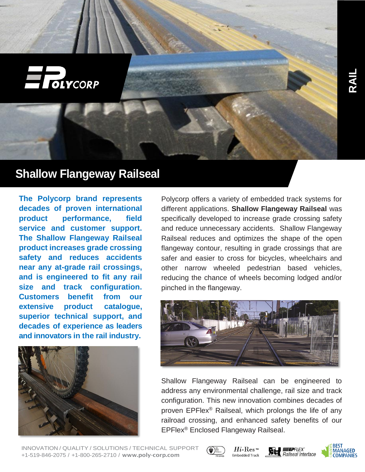

# **Shallow Flangeway Railseal**

**The Polycorp brand represents decades of proven international product performance, field service and customer support. The Shallow Flangeway Railseal product increases grade crossing safety and reduces accidents near any at-grade rail crossings, and is engineered to fit any rail size and track configuration. Customers benefit from our extensive product catalogue, superior technical support, and decades of experience as leaders and innovators in the rail industry.**



Polycorp offers a variety of embedded track systems for different applications. **Shallow Flangeway Railseal** was specifically developed to increase grade crossing safety and reduce unnecessary accidents. Shallow Flangeway Railseal reduces and optimizes the shape of the open flangeway contour, resulting in grade crossings that are safer and easier to cross for bicycles, wheelchairs and other narrow wheeled pedestrian based vehicles, reducing the chance of wheels becoming lodged and/or pinched in the flangeway.



Shallow Flangeway Railseal can be engineered to address any environmental challenge, rail size and track configuration. This new innovation combines decades of proven EPFlex® Railseal, which prolongs the life of any railroad crossing, and enhanced safety benefits of our EPFlex® Enclosed Flangeway Railseal.

INNOVATION / QUALITY / SOLUTIONS / TECHNICAL SUPPORT +1-519-846-2075 / +1-800-265-2710 / [www.poly-corp.com](http://www.poly-corp.com/)



 $Hi$ -Res **Embedded Track**